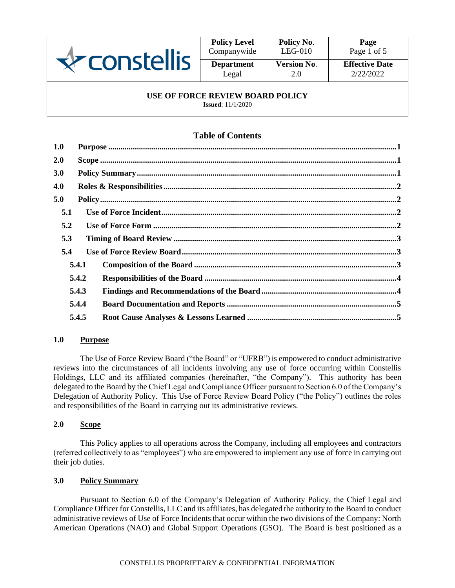

| <b>Policy Level</b> | Policy No.         | Page                  |
|---------------------|--------------------|-----------------------|
| Companywide         | $LEG-010$          | Page 1 of 5           |
| <b>Department</b>   | <b>Version No.</b> | <b>Effective Date</b> |
| Legal               | 2.0                | 2/22/2022             |

#### **USE OF FORCE REVIEW BOARD POLICY**

**Issued**: 11/1/2020

# **Table of Contents**

| 1.0 |       |  |
|-----|-------|--|
| 2.0 |       |  |
| 3.0 |       |  |
| 4.0 |       |  |
| 5.0 |       |  |
| 5.1 |       |  |
| 5.2 |       |  |
| 5.3 |       |  |
| 5.4 |       |  |
|     | 5.4.1 |  |
|     | 5.4.2 |  |
|     | 5.4.3 |  |
|     | 5.4.4 |  |
|     | 5.4.5 |  |
|     |       |  |

### <span id="page-0-0"></span>**1.0 Purpose**

The Use of Force Review Board ("the Board" or "UFRB") is empowered to conduct administrative reviews into the circumstances of all incidents involving any use of force occurring within Constellis Holdings, LLC and its affiliated companies (hereinafter, "the Company"). This authority has been delegated to the Board by the Chief Legal and Compliance Officer pursuant to Section 6.0 of the Company's Delegation of Authority Policy. This Use of Force Review Board Policy ("the Policy") outlines the roles and responsibilities of the Board in carrying out its administrative reviews.

## <span id="page-0-1"></span>**2.0 Scope**

This Policy applies to all operations across the Company, including all employees and contractors (referred collectively to as "employees") who are empowered to implement any use of force in carrying out their job duties.

### <span id="page-0-2"></span>**3.0 Policy Summary**

Pursuant to Section 6.0 of the Company's Delegation of Authority Policy, the Chief Legal and Compliance Officer for Constellis, LLC and its affiliates, has delegated the authority to the Board to conduct administrative reviews of Use of Force Incidents that occur within the two divisions of the Company: North American Operations (NAO) and Global Support Operations (GSO). The Board is best positioned as a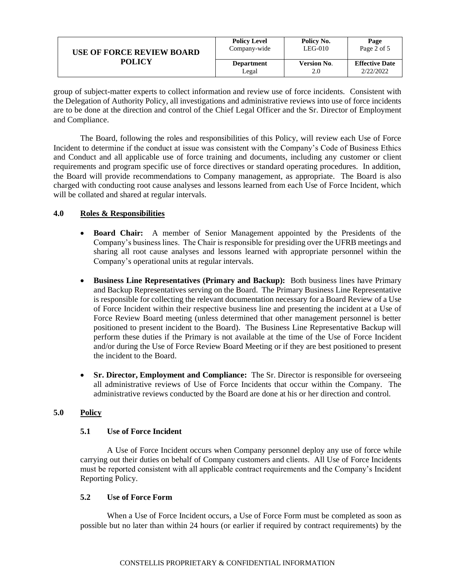| <b>USE OF FORCE REVIEW BOARD</b> | <b>Policy Level</b> | Policy No.         | Page                  |
|----------------------------------|---------------------|--------------------|-----------------------|
|                                  | Company-wide        | $LEG-010$          | Page 2 of 5           |
| <b>POLICY</b>                    | <b>Department</b>   | <b>Version No.</b> | <b>Effective Date</b> |
|                                  | Legal               | 2.0                | 2/22/2022             |

group of subject-matter experts to collect information and review use of force incidents. Consistent with the Delegation of Authority Policy, all investigations and administrative reviews into use of force incidents are to be done at the direction and control of the Chief Legal Officer and the Sr. Director of Employment and Compliance.

The Board, following the roles and responsibilities of this Policy, will review each Use of Force Incident to determine if the conduct at issue was consistent with the Company's Code of Business Ethics and Conduct and all applicable use of force training and documents, including any customer or client requirements and program specific use of force directives or standard operating procedures. In addition, the Board will provide recommendations to Company management, as appropriate. The Board is also charged with conducting root cause analyses and lessons learned from each Use of Force Incident, which will be collated and shared at regular intervals.

## <span id="page-1-0"></span>**4.0 Roles & Responsibilities**

- **Board Chair:** A member of Senior Management appointed by the Presidents of the Company's business lines. The Chair is responsible for presiding over the UFRB meetings and sharing all root cause analyses and lessons learned with appropriate personnel within the Company's operational units at regular intervals.
- **Business Line Representatives (Primary and Backup):** Both business lines have Primary and Backup Representatives serving on the Board. The Primary Business Line Representative is responsible for collecting the relevant documentation necessary for a Board Review of a Use of Force Incident within their respective business line and presenting the incident at a Use of Force Review Board meeting (unless determined that other management personnel is better positioned to present incident to the Board). The Business Line Representative Backup will perform these duties if the Primary is not available at the time of the Use of Force Incident and/or during the Use of Force Review Board Meeting or if they are best positioned to present the incident to the Board.
- **Sr. Director, Employment and Compliance:** The Sr. Director is responsible for overseeing all administrative reviews of Use of Force Incidents that occur within the Company. The administrative reviews conducted by the Board are done at his or her direction and control.

# <span id="page-1-2"></span><span id="page-1-1"></span>**5.0 Policy**

### **5.1 Use of Force Incident**

A Use of Force Incident occurs when Company personnel deploy any use of force while carrying out their duties on behalf of Company customers and clients. All Use of Force Incidents must be reported consistent with all applicable contract requirements and the Company's Incident Reporting Policy.

### <span id="page-1-3"></span>**5.2 Use of Force Form**

When a Use of Force Incident occurs, a Use of Force Form must be completed as soon as possible but no later than within 24 hours (or earlier if required by contract requirements) by the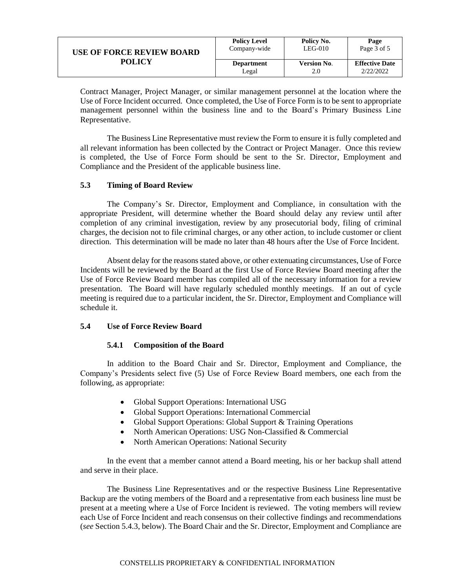| <b>USE OF FORCE REVIEW BOARD</b> | <b>Policy Level</b> | Policy No.         | Page                  |
|----------------------------------|---------------------|--------------------|-----------------------|
|                                  | Company-wide        | $LEG-010$          | Page 3 of 5           |
| <b>POLICY</b>                    | <b>Department</b>   | <b>Version No.</b> | <b>Effective Date</b> |
|                                  | Legal               | 2.0                | 2/22/2022             |

Contract Manager, Project Manager, or similar management personnel at the location where the Use of Force Incident occurred. Once completed, the Use of Force Form is to be sent to appropriate management personnel within the business line and to the Board's Primary Business Line Representative.

The Business Line Representative must review the Form to ensure it is fully completed and all relevant information has been collected by the Contract or Project Manager. Once this review is completed, the Use of Force Form should be sent to the Sr. Director, Employment and Compliance and the President of the applicable business line.

### <span id="page-2-0"></span>**5.3 Timing of Board Review**

The Company's Sr. Director, Employment and Compliance, in consultation with the appropriate President, will determine whether the Board should delay any review until after completion of any criminal investigation, review by any prosecutorial body, filing of criminal charges, the decision not to file criminal charges, or any other action, to include customer or client direction. This determination will be made no later than 48 hours after the Use of Force Incident.

Absent delay for the reasons stated above, or other extenuating circumstances, Use of Force Incidents will be reviewed by the Board at the first Use of Force Review Board meeting after the Use of Force Review Board member has compiled all of the necessary information for a review presentation. The Board will have regularly scheduled monthly meetings. If an out of cycle meeting is required due to a particular incident, the Sr. Director, Employment and Compliance will schedule it.

#### <span id="page-2-2"></span><span id="page-2-1"></span>**5.4 Use of Force Review Board**

### **5.4.1 Composition of the Board**

In addition to the Board Chair and Sr. Director, Employment and Compliance, the Company's Presidents select five (5) Use of Force Review Board members, one each from the following, as appropriate:

- Global Support Operations: International USG
- Global Support Operations: International Commercial
- Global Support Operations: Global Support & Training Operations
- North American Operations: USG Non-Classified & Commercial
- North American Operations: National Security

In the event that a member cannot attend a Board meeting, his or her backup shall attend and serve in their place.

The Business Line Representatives and or the respective Business Line Representative Backup are the voting members of the Board and a representative from each business line must be present at a meeting where a Use of Force Incident is reviewed. The voting members will review each Use of Force Incident and reach consensus on their collective findings and recommendations (*see* Section 5.4.3, below). The Board Chair and the Sr. Director, Employment and Compliance are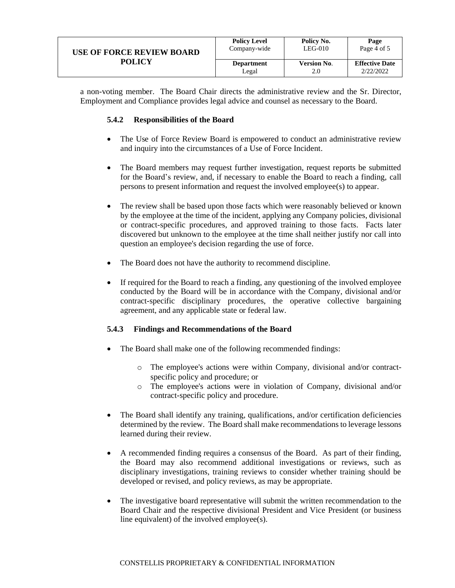| <b>USE OF FORCE REVIEW BOARD</b> | <b>Policy Level</b> | Policy No.         | Page                  |
|----------------------------------|---------------------|--------------------|-----------------------|
|                                  | Company-wide        | $LEG-010$          | Page 4 of 5           |
| <b>POLICY</b>                    | <b>Department</b>   | <b>Version No.</b> | <b>Effective Date</b> |
|                                  | Legal               | 2.0                | 2/22/2022             |

<span id="page-3-0"></span>a non-voting member. The Board Chair directs the administrative review and the Sr. Director, Employment and Compliance provides legal advice and counsel as necessary to the Board.

## **5.4.2 Responsibilities of the Board**

- The Use of Force Review Board is empowered to conduct an administrative review and inquiry into the circumstances of a Use of Force Incident.
- The Board members may request further investigation, request reports be submitted for the Board's review, and, if necessary to enable the Board to reach a finding, call persons to present information and request the involved employee(s) to appear.
- The review shall be based upon those facts which were reasonably believed or known by the employee at the time of the incident, applying any Company policies, divisional or contract-specific procedures, and approved training to those facts. Facts later discovered but unknown to the employee at the time shall neither justify nor call into question an employee's decision regarding the use of force.
- The Board does not have the authority to recommend discipline.
- If required for the Board to reach a finding, any questioning of the involved employee conducted by the Board will be in accordance with the Company, divisional and/or contract-specific disciplinary procedures, the operative collective bargaining agreement, and any applicable state or federal law.

# <span id="page-3-1"></span>**5.4.3 Findings and Recommendations of the Board**

- The Board shall make one of the following recommended findings:
	- o The employee's actions were within Company, divisional and/or contractspecific policy and procedure; or
	- o The employee's actions were in violation of Company, divisional and/or contract-specific policy and procedure.
- The Board shall identify any training, qualifications, and/or certification deficiencies determined by the review. The Board shall make recommendations to leverage lessons learned during their review.
- A recommended finding requires a consensus of the Board. As part of their finding, the Board may also recommend additional investigations or reviews, such as disciplinary investigations, training reviews to consider whether training should be developed or revised, and policy reviews, as may be appropriate.
- The investigative board representative will submit the written recommendation to the Board Chair and the respective divisional President and Vice President (or business line equivalent) of the involved employee(s).